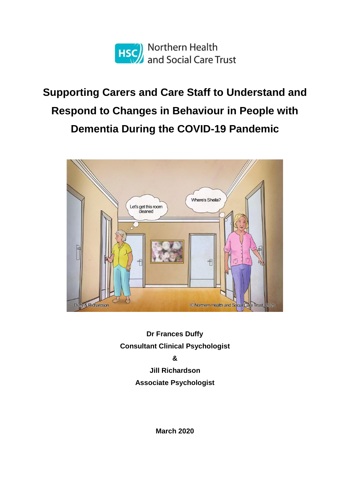

# **Supporting Carers and Care Staff to Understand and Respond to Changes in Behaviour in People with Dementia During the COVID-19 Pandemic**



**Dr Frances Duffy Consultant Clinical Psychologist & Jill Richardson Associate Psychologist**

**March 2020**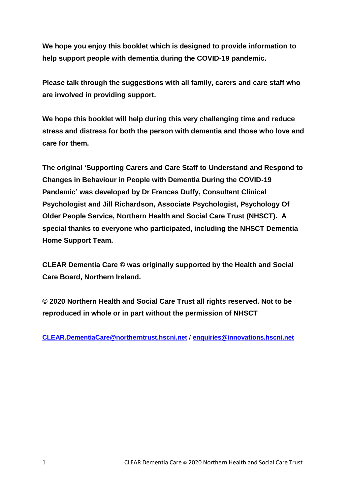**We hope you enjoy this booklet which is designed to provide information to help support people with dementia during the COVID-19 pandemic.**

**Please talk through the suggestions with all family, carers and care staff who are involved in providing support.**

**We hope this booklet will help during this very challenging time and reduce stress and distress for both the person with dementia and those who love and care for them.**

**The original 'Supporting Carers and Care Staff to Understand and Respond to Changes in Behaviour in People with Dementia During the COVID-19 Pandemic' was developed by Dr Frances Duffy, Consultant Clinical Psychologist and Jill Richardson, Associate Psychologist, Psychology Of Older People Service, Northern Health and Social Care Trust (NHSCT). A special thanks to everyone who participated, including the NHSCT Dementia Home Support Team.**

**CLEAR Dementia Care © was originally supported by the Health and Social Care Board, Northern Ireland.** 

**© 2020 Northern Health and Social Care Trust all rights reserved. Not to be reproduced in whole or in part without the permission of NHSCT** 

**CLEAR.DementiaCare@northerntrust.hscni.net** / **enquiries@innovations.hscni.net**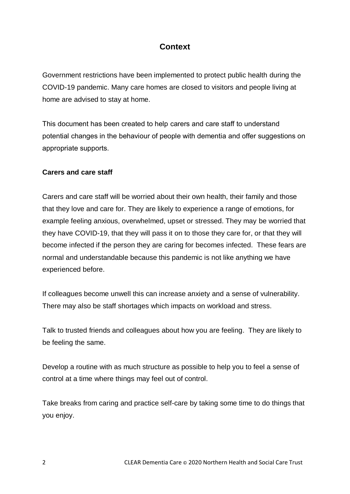## **Context**

Government restrictions have been implemented to protect public health during the COVID-19 pandemic. Many care homes are closed to visitors and people living at home are advised to stay at home.

This document has been created to help carers and care staff to understand potential changes in the behaviour of people with dementia and offer suggestions on appropriate supports.

#### **Carers and care staff**

Carers and care staff will be worried about their own health, their family and those that they love and care for. They are likely to experience a range of emotions, for example feeling anxious, overwhelmed, upset or stressed. They may be worried that they have COVID-19, that they will pass it on to those they care for, or that they will become infected if the person they are caring for becomes infected. These fears are normal and understandable because this pandemic is not like anything we have experienced before.

If colleagues become unwell this can increase anxiety and a sense of vulnerability. There may also be staff shortages which impacts on workload and stress.

Talk to trusted friends and colleagues about how you are feeling. They are likely to be feeling the same.

Develop a routine with as much structure as possible to help you to feel a sense of control at a time where things may feel out of control.

Take breaks from caring and practice self-care by taking some time to do things that you enjoy.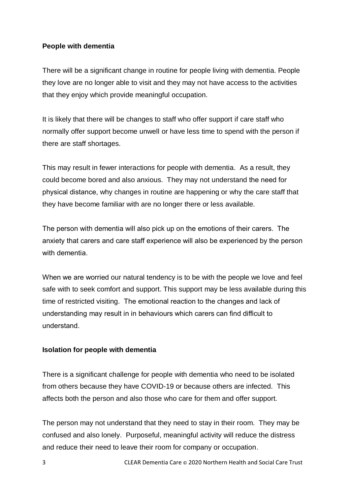#### **People with dementia**

There will be a significant change in routine for people living with dementia. People they love are no longer able to visit and they may not have access to the activities that they enjoy which provide meaningful occupation.

It is likely that there will be changes to staff who offer support if care staff who normally offer support become unwell or have less time to spend with the person if there are staff shortages.

This may result in fewer interactions for people with dementia. As a result, they could become bored and also anxious. They may not understand the need for physical distance, why changes in routine are happening or why the care staff that they have become familiar with are no longer there or less available.

The person with dementia will also pick up on the emotions of their carers. The anxiety that carers and care staff experience will also be experienced by the person with dementia

When we are worried our natural tendency is to be with the people we love and feel safe with to seek comfort and support. This support may be less available during this time of restricted visiting. The emotional reaction to the changes and lack of understanding may result in in behaviours which carers can find difficult to understand.

#### **Isolation for people with dementia**

There is a significant challenge for people with dementia who need to be isolated from others because they have COVID-19 or because others are infected. This affects both the person and also those who care for them and offer support.

The person may not understand that they need to stay in their room. They may be confused and also lonely. Purposeful, meaningful activity will reduce the distress and reduce their need to leave their room for company or occupation.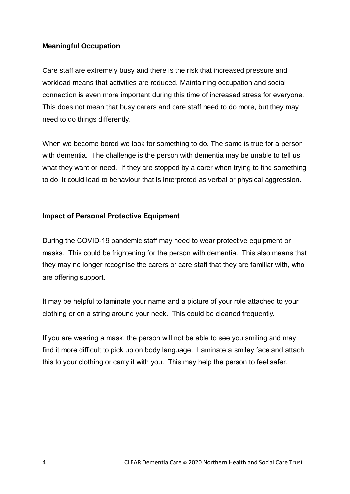#### **Meaningful Occupation**

Care staff are extremely busy and there is the risk that increased pressure and workload means that activities are reduced. Maintaining occupation and social connection is even more important during this time of increased stress for everyone. This does not mean that busy carers and care staff need to do more, but they may need to do things differently.

When we become bored we look for something to do. The same is true for a person with dementia. The challenge is the person with dementia may be unable to tell us what they want or need. If they are stopped by a carer when trying to find something to do, it could lead to behaviour that is interpreted as verbal or physical aggression.

#### **Impact of Personal Protective Equipment**

During the COVID-19 pandemic staff may need to wear protective equipment or masks. This could be frightening for the person with dementia. This also means that they may no longer recognise the carers or care staff that they are familiar with, who are offering support.

It may be helpful to laminate your name and a picture of your role attached to your clothing or on a string around your neck. This could be cleaned frequently.

If you are wearing a mask, the person will not be able to see you smiling and may find it more difficult to pick up on body language. Laminate a smiley face and attach this to your clothing or carry it with you. This may help the person to feel safer.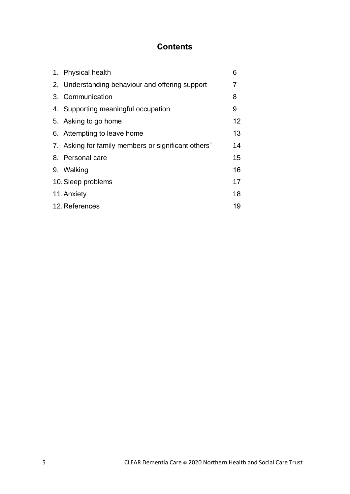# **Contents**

|                    | 1. Physical health                                 | 6                 |
|--------------------|----------------------------------------------------|-------------------|
|                    | 2. Understanding behaviour and offering support    | 7                 |
|                    | 3. Communication                                   | 8                 |
|                    | 4. Supporting meaningful occupation                | 9                 |
|                    | 5. Asking to go home                               | $12 \overline{ }$ |
|                    | 6. Attempting to leave home                        | 13                |
|                    | 7. Asking for family members or significant others | 14                |
|                    | 8. Personal care                                   | 15                |
|                    | 9. Walking                                         | 16                |
| 10. Sleep problems |                                                    | 17                |
|                    | 11. Anxiety                                        | 18                |
| 12. References     |                                                    | 19                |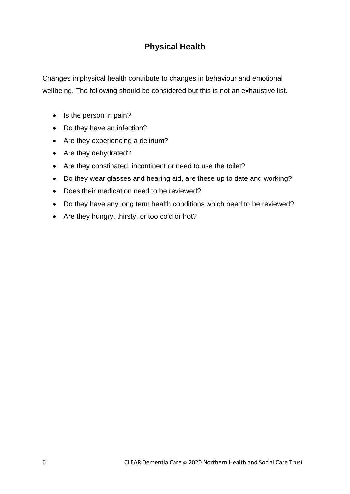## **Physical Health**

Changes in physical health contribute to changes in behaviour and emotional wellbeing. The following should be considered but this is not an exhaustive list.

- $\bullet$  Is the person in pain?
- Do they have an infection?
- Are they experiencing a delirium?
- Are they dehydrated?
- Are they constipated, incontinent or need to use the toilet?
- Do they wear glasses and hearing aid, are these up to date and working?
- Does their medication need to be reviewed?
- Do they have any long term health conditions which need to be reviewed?
- Are they hungry, thirsty, or too cold or hot?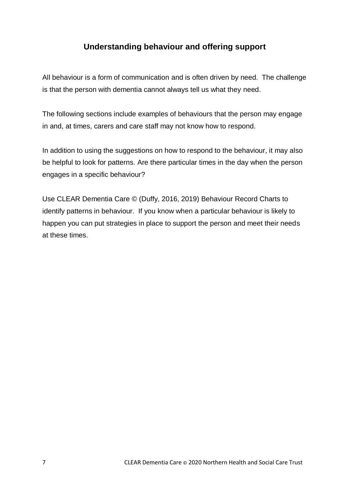## **Understanding behaviour and offering support**

All behaviour is a form of communication and is often driven by need. The challenge is that the person with dementia cannot always tell us what they need.

The following sections include examples of behaviours that the person may engage in and, at times, carers and care staff may not know how to respond.

In addition to using the suggestions on how to respond to the behaviour, it may also be helpful to look for patterns. Are there particular times in the day when the person engages in a specific behaviour?

Use CLEAR Dementia Care © (Duffy, 2016, 2019) Behaviour Record Charts to identify patterns in behaviour. If you know when a particular behaviour is likely to happen you can put strategies in place to support the person and meet their needs at these times.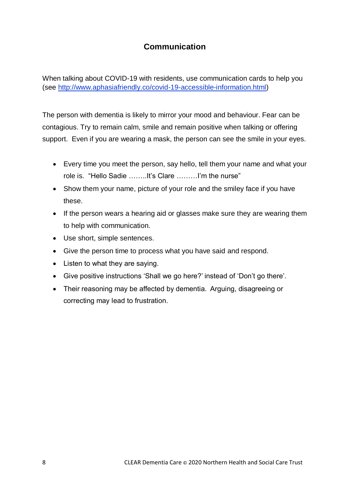## **Communication**

When talking about COVID-19 with residents, use communication cards to help you (see http://www.aphasiafriendly.co/covid-19-accessible-information.html)

The person with dementia is likely to mirror your mood and behaviour. Fear can be contagious. Try to remain calm, smile and remain positive when talking or offering support. Even if you are wearing a mask, the person can see the smile in your eyes.

- Every time you meet the person, say hello, tell them your name and what your role is. "Hello Sadie ……..It's Clare ………I'm the nurse"
- Show them your name, picture of your role and the smiley face if you have these.
- If the person wears a hearing aid or glasses make sure they are wearing them to help with communication.
- Use short, simple sentences.
- Give the person time to process what you have said and respond.
- Listen to what they are saying.
- Give positive instructions 'Shall we go here?' instead of 'Don't go there'.
- Their reasoning may be affected by dementia. Arguing, disagreeing or correcting may lead to frustration.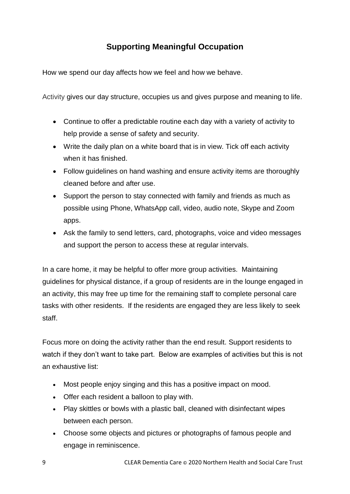## **Supporting Meaningful Occupation**

How we spend our day affects how we feel and how we behave.

Activity gives our day structure, occupies us and gives purpose and meaning to life.

- Continue to offer a predictable routine each day with a variety of activity to help provide a sense of safety and security.
- Write the daily plan on a white board that is in view. Tick off each activity when it has finished.
- Follow guidelines on hand washing and ensure activity items are thoroughly cleaned before and after use.
- Support the person to stay connected with family and friends as much as possible using Phone, WhatsApp call, video, audio note, Skype and Zoom apps.
- Ask the family to send letters, card, photographs, voice and video messages and support the person to access these at regular intervals.

In a care home, it may be helpful to offer more group activities. Maintaining guidelines for physical distance, if a group of residents are in the lounge engaged in an activity, this may free up time for the remaining staff to complete personal care tasks with other residents. If the residents are engaged they are less likely to seek staff.

Focus more on doing the activity rather than the end result. Support residents to watch if they don't want to take part. Below are examples of activities but this is not an exhaustive list:

- Most people enjoy singing and this has a positive impact on mood.
- Offer each resident a balloon to play with.
- Play skittles or bowls with a plastic ball, cleaned with disinfectant wipes between each person.
- Choose some objects and pictures or photographs of famous people and engage in reminiscence.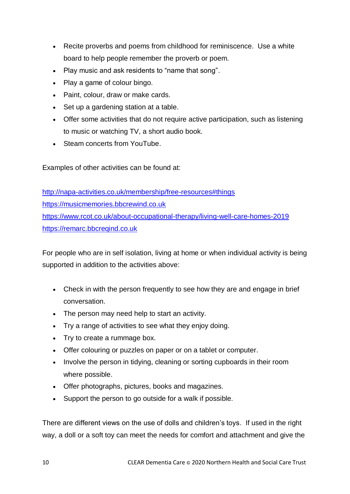- Recite proverbs and poems from childhood for reminiscence. Use a white board to help people remember the proverb or poem.
- Play music and ask residents to "name that song".
- Play a game of colour bingo.
- Paint, colour, draw or make cards.
- Set up a gardening station at a table.
- Offer some activities that do not require active participation, such as listening to music or watching TV, a short audio book.
- Steam concerts from YouTube.

Examples of other activities can be found at:

http://napa-activities.co.uk/membership/free-resources#things https://musicmemories.bbcrewind.co.uk https://www.rcot.co.uk/about-occupational-therapy/living-well-care-homes-2019 https://remarc.bbcreqind.co.uk

For people who are in self isolation, living at home or when individual activity is being supported in addition to the activities above:

- Check in with the person frequently to see how they are and engage in brief conversation.
- The person may need help to start an activity.
- Try a range of activities to see what they enjoy doing.
- Try to create a rummage box.
- Offer colouring or puzzles on paper or on a tablet or computer.
- Involve the person in tidying, cleaning or sorting cupboards in their room where possible.
- Offer photographs, pictures, books and magazines.
- Support the person to go outside for a walk if possible.

There are different views on the use of dolls and children's toys. If used in the right way, a doll or a soft toy can meet the needs for comfort and attachment and give the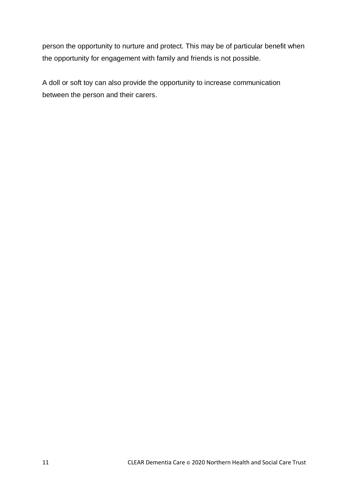person the opportunity to nurture and protect. This may be of particular benefit when the opportunity for engagement with family and friends is not possible.

A doll or soft toy can also provide the opportunity to increase communication between the person and their carers.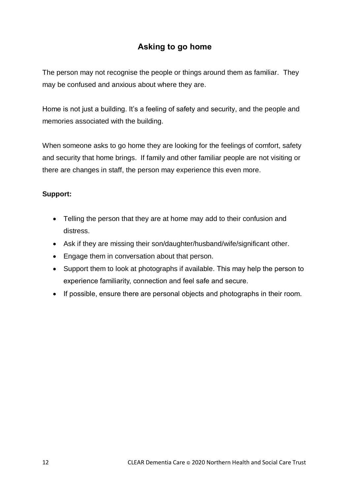## **Asking to go home**

The person may not recognise the people or things around them as familiar. They may be confused and anxious about where they are.

Home is not just a building. It's a feeling of safety and security, and the people and memories associated with the building.

When someone asks to go home they are looking for the feelings of comfort, safety and security that home brings. If family and other familiar people are not visiting or there are changes in staff, the person may experience this even more.

- Telling the person that they are at home may add to their confusion and distress.
- Ask if they are missing their son/daughter/husband/wife/significant other.
- Engage them in conversation about that person.
- Support them to look at photographs if available. This may help the person to experience familiarity, connection and feel safe and secure.
- If possible, ensure there are personal objects and photographs in their room.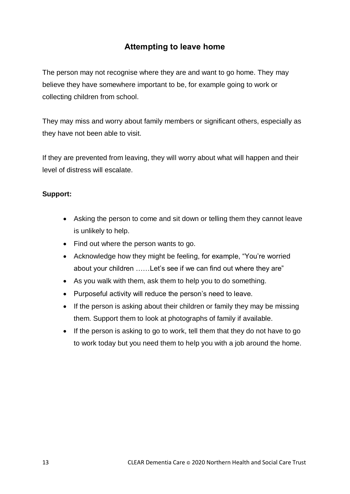## **Attempting to leave home**

The person may not recognise where they are and want to go home. They may believe they have somewhere important to be, for example going to work or collecting children from school.

They may miss and worry about family members or significant others, especially as they have not been able to visit.

If they are prevented from leaving, they will worry about what will happen and their level of distress will escalate.

- Asking the person to come and sit down or telling them they cannot leave is unlikely to help.
- Find out where the person wants to go.
- Acknowledge how they might be feeling, for example, "You're worried about your children ……Let's see if we can find out where they are"
- As you walk with them, ask them to help you to do something.
- Purposeful activity will reduce the person's need to leave.
- If the person is asking about their children or family they may be missing them. Support them to look at photographs of family if available.
- If the person is asking to go to work, tell them that they do not have to go to work today but you need them to help you with a job around the home.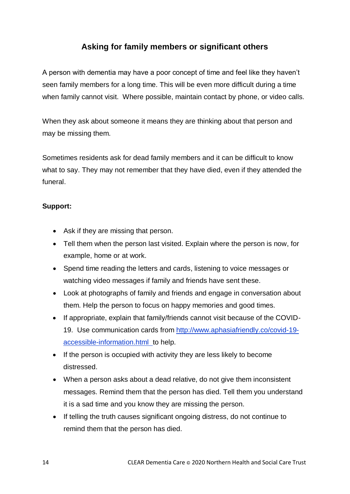## **Asking for family members or significant others**

A person with dementia may have a poor concept of time and feel like they haven't seen family members for a long time. This will be even more difficult during a time when family cannot visit. Where possible, maintain contact by phone, or video calls.

When they ask about someone it means they are thinking about that person and may be missing them.

Sometimes residents ask for dead family members and it can be difficult to know what to say. They may not remember that they have died, even if they attended the funeral.

- Ask if they are missing that person.
- Tell them when the person last visited. Explain where the person is now, for example, home or at work.
- Spend time reading the letters and cards, listening to voice messages or watching video messages if family and friends have sent these.
- Look at photographs of family and friends and engage in conversation about them. Help the person to focus on happy memories and good times.
- If appropriate, explain that family/friends cannot visit because of the COVID-19. Use communication cards from http://www.aphasiafriendly.co/covid-19 accessible-information.html\_to help.
- If the person is occupied with activity they are less likely to become distressed.
- When a person asks about a dead relative, do not give them inconsistent messages. Remind them that the person has died. Tell them you understand it is a sad time and you know they are missing the person.
- If telling the truth causes significant ongoing distress, do not continue to remind them that the person has died.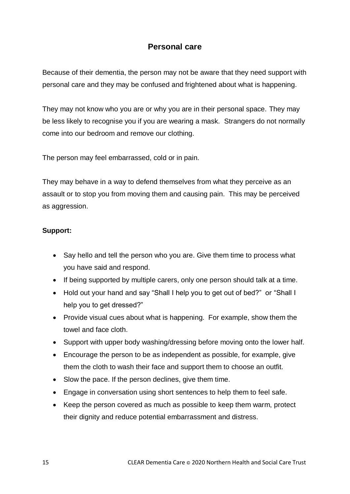### **Personal care**

Because of their dementia, the person may not be aware that they need support with personal care and they may be confused and frightened about what is happening.

They may not know who you are or why you are in their personal space. They may be less likely to recognise you if you are wearing a mask. Strangers do not normally come into our bedroom and remove our clothing.

The person may feel embarrassed, cold or in pain.

They may behave in a way to defend themselves from what they perceive as an assault or to stop you from moving them and causing pain. This may be perceived as aggression.

- Say hello and tell the person who you are. Give them time to process what you have said and respond.
- If being supported by multiple carers, only one person should talk at a time.
- Hold out your hand and say "Shall I help you to get out of bed?" or "Shall I help you to get dressed?"
- Provide visual cues about what is happening. For example, show them the towel and face cloth.
- Support with upper body washing/dressing before moving onto the lower half.
- Encourage the person to be as independent as possible, for example, give them the cloth to wash their face and support them to choose an outfit.
- Slow the pace. If the person declines, give them time.
- Engage in conversation using short sentences to help them to feel safe.
- Keep the person covered as much as possible to keep them warm, protect their dignity and reduce potential embarrassment and distress.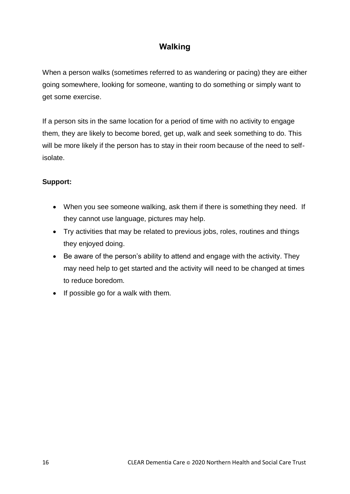## **Walking**

When a person walks (sometimes referred to as wandering or pacing) they are either going somewhere, looking for someone, wanting to do something or simply want to get some exercise.

If a person sits in the same location for a period of time with no activity to engage them, they are likely to become bored, get up, walk and seek something to do. This will be more likely if the person has to stay in their room because of the need to selfisolate.

- When you see someone walking, ask them if there is something they need. If they cannot use language, pictures may help.
- Try activities that may be related to previous jobs, roles, routines and things they enjoyed doing.
- Be aware of the person's ability to attend and engage with the activity. They may need help to get started and the activity will need to be changed at times to reduce boredom.
- $\bullet$  If possible go for a walk with them.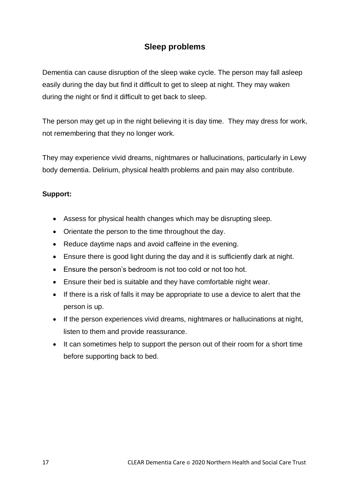## **Sleep problems**

Dementia can cause disruption of the sleep wake cycle. The person may fall asleep easily during the day but find it difficult to get to sleep at night. They may waken during the night or find it difficult to get back to sleep.

The person may get up in the night believing it is day time. They may dress for work, not remembering that they no longer work.

They may experience vivid dreams, nightmares or hallucinations, particularly in Lewy body dementia. Delirium, physical health problems and pain may also contribute.

- Assess for physical health changes which may be disrupting sleep.
- Orientate the person to the time throughout the day.
- Reduce daytime naps and avoid caffeine in the evening.
- Ensure there is good light during the day and it is sufficiently dark at night.
- Ensure the person's bedroom is not too cold or not too hot.
- Ensure their bed is suitable and they have comfortable night wear.
- If there is a risk of falls it may be appropriate to use a device to alert that the person is up.
- If the person experiences vivid dreams, nightmares or hallucinations at night, listen to them and provide reassurance.
- It can sometimes help to support the person out of their room for a short time before supporting back to bed.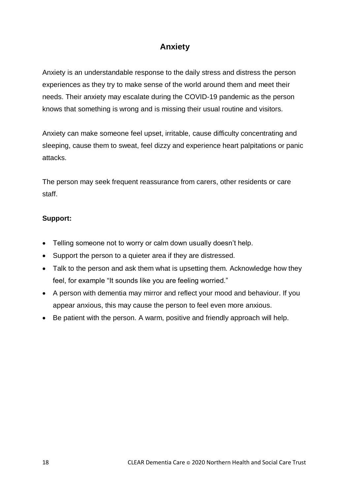## **Anxiety**

Anxiety is an understandable response to the daily stress and distress the person experiences as they try to make sense of the world around them and meet their needs. Their anxiety may escalate during the COVID-19 pandemic as the person knows that something is wrong and is missing their usual routine and visitors.

Anxiety can make someone feel upset, irritable, cause difficulty concentrating and sleeping, cause them to sweat, feel dizzy and experience heart palpitations or panic attacks.

The person may seek frequent reassurance from carers, other residents or care staff.

- Telling someone not to worry or calm down usually doesn't help.
- Support the person to a quieter area if they are distressed.
- Talk to the person and ask them what is upsetting them. Acknowledge how they feel, for example "It sounds like you are feeling worried."
- A person with dementia may mirror and reflect your mood and behaviour. If you appear anxious, this may cause the person to feel even more anxious.
- Be patient with the person. A warm, positive and friendly approach will help.